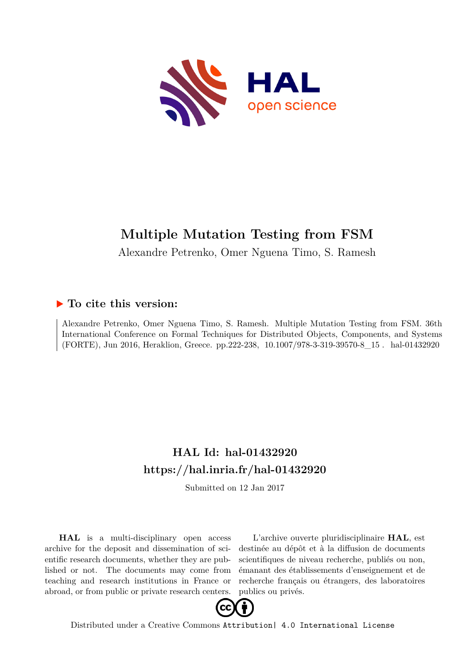

# **Multiple Mutation Testing from FSM**

Alexandre Petrenko, Omer Nguena Timo, S. Ramesh

## **To cite this version:**

Alexandre Petrenko, Omer Nguena Timo, S. Ramesh. Multiple Mutation Testing from FSM. 36th International Conference on Formal Techniques for Distributed Objects, Components, and Systems (FORTE), Jun 2016, Heraklion, Greece. pp.222-238, 10.1007/978-3-319-39570-8 15. hal-01432920

## **HAL Id: hal-01432920 <https://hal.inria.fr/hal-01432920>**

Submitted on 12 Jan 2017

**HAL** is a multi-disciplinary open access archive for the deposit and dissemination of scientific research documents, whether they are published or not. The documents may come from teaching and research institutions in France or abroad, or from public or private research centers.

L'archive ouverte pluridisciplinaire **HAL**, est destinée au dépôt et à la diffusion de documents scientifiques de niveau recherche, publiés ou non, émanant des établissements d'enseignement et de recherche français ou étrangers, des laboratoires publics ou privés.



Distributed under a Creative Commons [Attribution| 4.0 International License](http://creativecommons.org/licenses/by/4.0/)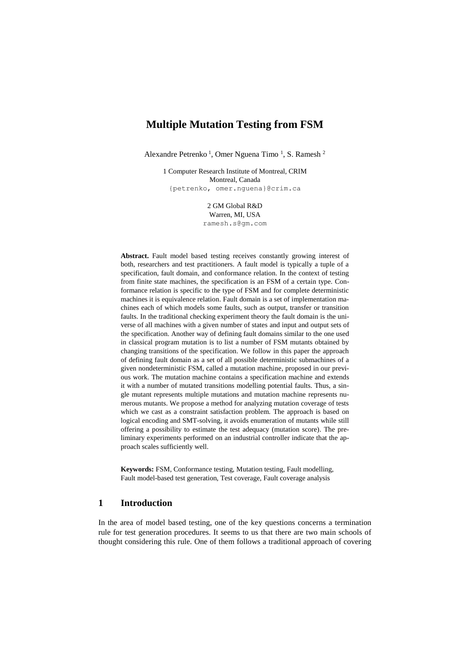## **Multiple Mutation Testing from FSM**

Alexandre Petrenko<sup>1</sup>, Omer Nguena Timo<sup>1</sup>, S. Ramesh<sup>2</sup>

1 Computer Research Institute of Montreal, CRIM Montreal, Canada {petrenko, [omer.nguena}@crim.ca](mailto:omer.nguena%7D@crim.ca)

> 2 GM Global R&D Warren, MI, USA [ramesh.s@gm.com](mailto:ramesh.s@gm.com)

**Abstract.** Fault model based testing receives constantly growing interest of both, researchers and test practitioners. A fault model is typically a tuple of a specification, fault domain, and conformance relation. In the context of testing from finite state machines, the specification is an FSM of a certain type. Conformance relation is specific to the type of FSM and for complete deterministic machines it is equivalence relation. Fault domain is a set of implementation machines each of which models some faults, such as output, transfer or transition faults. In the traditional checking experiment theory the fault domain is the universe of all machines with a given number of states and input and output sets of the specification. Another way of defining fault domains similar to the one used in classical program mutation is to list a number of FSM mutants obtained by changing transitions of the specification. We follow in this paper the approach of defining fault domain as a set of all possible deterministic submachines of a given nondeterministic FSM, called a mutation machine, proposed in our previous work. The mutation machine contains a specification machine and extends it with a number of mutated transitions modelling potential faults. Thus, a single mutant represents multiple mutations and mutation machine represents numerous mutants. We propose a method for analyzing mutation coverage of tests which we cast as a constraint satisfaction problem. The approach is based on logical encoding and SMT-solving, it avoids enumeration of mutants while still offering a possibility to estimate the test adequacy (mutation score). The preliminary experiments performed on an industrial controller indicate that the approach scales sufficiently well.

**Keywords:** FSM, Conformance testing, Mutation testing, Fault modelling, Fault model-based test generation, Test coverage, Fault coverage analysis

### **1 Introduction**

In the area of model based testing, one of the key questions concerns a termination rule for test generation procedures. It seems to us that there are two main schools of thought considering this rule. One of them follows a traditional approach of covering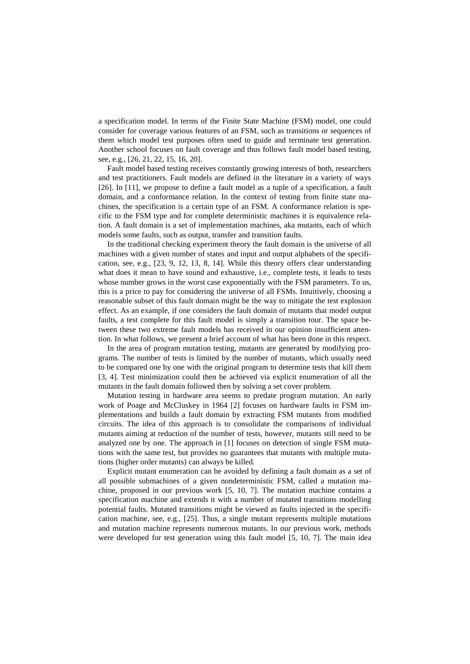a specification model. In terms of the Finite State Machine (FSM) model, one could consider for coverage various features of an FSM, such as transitions or sequences of them which model test purposes often used to guide and terminate test generation. Another school focuses on fault coverage and thus follows fault model based testing, see, e.g., [26, 21, 22, 15, 16, 20].

Fault model based testing receives constantly growing interests of both, researchers and test practitioners. Fault models are defined in the literature in a variety of ways [26]. In [11], we propose to define a fault model as a tuple of a specification, a fault domain, and a conformance relation. In the context of testing from finite state machines, the specification is a certain type of an FSM. A conformance relation is specific to the FSM type and for complete deterministic machines it is equivalence relation. A fault domain is a set of implementation machines, aka mutants, each of which models some faults, such as output, transfer and transition faults.

In the traditional checking experiment theory the fault domain is the universe of all machines with a given number of states and input and output alphabets of the specification, see, e.g., [23, 9, 12, 13, 8, 14]. While this theory offers clear understanding what does it mean to have sound and exhaustive, i.e., complete tests, it leads to tests whose number grows in the worst case exponentially with the FSM parameters. To us, this is a price to pay for considering the universe of all FSMs. Intuitively, choosing a reasonable subset of this fault domain might be the way to mitigate the test explosion effect. As an example, if one considers the fault domain of mutants that model output faults, a test complete for this fault model is simply a transition tour. The space between these two extreme fault models has received in our opinion insufficient attention. In what follows, we present a brief account of what has been done in this respect.

In the area of program mutation testing, mutants are generated by modifying programs. The number of tests is limited by the number of mutants, which usually need to be compared one by one with the original program to determine tests that kill them [3, 4]. Test minimization could then be achieved via explicit enumeration of all the mutants in the fault domain followed then by solving a set cover problem.

Mutation testing in hardware area seems to predate program mutation. An early work of Poage and McCluskey in 1964 [2] focuses on hardware faults in FSM implementations and builds a fault domain by extracting FSM mutants from modified circuits. The idea of this approach is to consolidate the comparisons of individual mutants aiming at reduction of the number of tests, however, mutants still need to be analyzed one by one. The approach in [1] focuses on detection of single FSM mutations with the same test, but provides no guarantees that mutants with multiple mutations (higher order mutants) can always be killed.

Explicit mutant enumeration can be avoided by defining a fault domain as a set of all possible submachines of a given nondeterministic FSM, called a mutation machine, proposed in our previous work [5, 10, 7]. The mutation machine contains a specification machine and extends it with a number of mutated transitions modelling potential faults. Mutated transitions might be viewed as faults injected in the specification machine, see, e.g., [25]. Thus, a single mutant represents multiple mutations and mutation machine represents numerous mutants. In our previous work, methods were developed for test generation using this fault model [5, 10, 7]. The main idea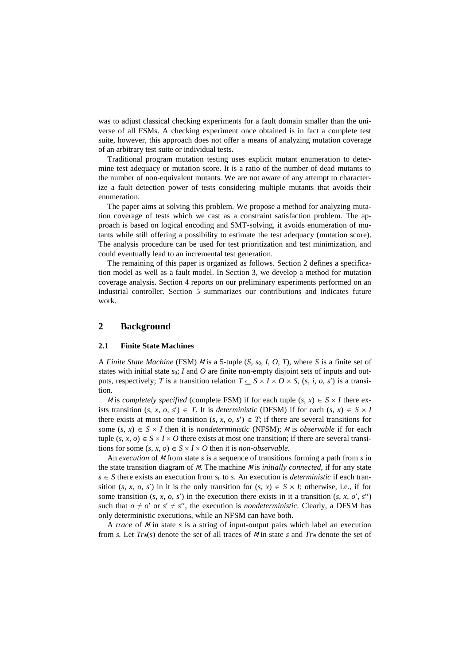was to adjust classical checking experiments for a fault domain smaller than the universe of all FSMs. A checking experiment once obtained is in fact a complete test suite, however, this approach does not offer a means of analyzing mutation coverage of an arbitrary test suite or individual tests.

Traditional program mutation testing uses explicit mutant enumeration to determine test adequacy or mutation score. It is a ratio of the number of dead mutants to the number of non-equivalent mutants. We are not aware of any attempt to characterize a fault detection power of tests considering multiple mutants that avoids their enumeration.

The paper aims at solving this problem. We propose a method for analyzing mutation coverage of tests which we cast as a constraint satisfaction problem. The approach is based on logical encoding and SMT-solving, it avoids enumeration of mutants while still offering a possibility to estimate the test adequacy (mutation score). The analysis procedure can be used for test prioritization and test minimization, and could eventually lead to an incremental test generation.

The remaining of this paper is organized as follows. Section 2 defines a specification model as well as a fault model. In Section 3, we develop a method for mutation coverage analysis. Section 4 reports on our preliminary experiments performed on an industrial controller. Section 5 summarizes our contributions and indicates future work.

#### **2 Background**

#### **2.1 Finite State Machines**

A *Finite State Machine* (FSM) <sup>M</sup> is a 5-tuple (*S*, *s*0, *I*, *O*, *T*), where *S* is a finite set of states with initial state *s*0; *I* and *O* are finite non-empty disjoint sets of inputs and outputs, respectively; *T* is a transition relation  $T \subseteq S \times I \times O \times S$ ,  $(s, i, o, s')$  is a transition.

*M* is *completely specified* (complete FSM) if for each tuple  $(s, x) \in S \times I$  there exists transition  $(s, x, o, s') \in T$ . It is *deterministic* (DFSM) if for each  $(s, x) \in S \times I$ there exists at most one transition  $(s, x, o, s') \in T$ ; if there are several transitions for some  $(s, x) \in S \times I$  then it is *nondeterministic* (NFSM); *M* is *observable* if for each tuple  $(s, x, o) \in S \times I \times O$  there exists at most one transition; if there are several transitions for some  $(s, x, o) \in S \times I \times O$  then it is *non-observable*.

An *execution* of <sup>M</sup> from state *s* is a sequence of transitions forming a path from *s* in the state transition diagram of M. The machine <sup>M</sup> is *initially connected*, if for any state  $s \in S$  there exists an execution from  $s_0$  to *s*. An execution is *deterministic* if each transition (*s*, *x*, *o*, *s'*) in it is the only transition for  $(s, x) \in S \times I$ ; otherwise, i.e., if for some transition  $(s, x, o, s')$  in the execution there exists in it a transition  $(s, x, o', s'')$ such that  $o \neq o'$  or  $s' \neq s''$ , the execution is *nondeterministic*. Clearly, a DFSM has only deterministic executions, while an NFSM can have both.

A *trace* of <sup>M</sup> in state *s* is a string of input-output pairs which label an execution from *s*. Let  $Tr_M(s)$  denote the set of all traces of M in state *s* and  $Tr_M$  denote the set of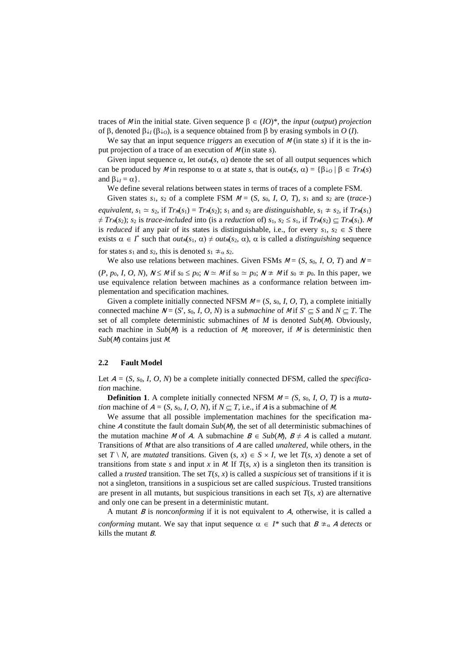traces of M in the initial state. Given sequence  $\beta \in (IO)^*$ , the *input* (*output*) *projection* of  $\beta$ , denoted  $\beta\downarrow$  ( $\beta\downarrow$ ), is a sequence obtained from  $\beta$  by erasing symbols in O (I).

We say that an input sequence *triggers* an execution of <sup>M</sup> (in state *s*) if it is the input projection of a trace of an execution of <sup>M</sup> (in state *s*).

Given input sequence  $\alpha$ , let *out M*,  $\alpha$  denote the set of all output sequences which can be produced by M in response to  $\alpha$  at state *s*, that is  $out \setminus (s, \alpha) = {\beta \cup \alpha \mid \beta \in Tr \setminus (s)}$ and  $\beta \downarrow_I = \alpha$  }.

We define several relations between states in terms of traces of a complete FSM.

Given states  $s_1$ ,  $s_2$  of a complete FSM  $M = (S, s_0, I, O, T)$ ,  $s_1$  and  $s_2$  are (*trace-*)

*equivalent*,  $s_1 \simeq s_2$ , if  $Tr(M_s) = Tr(M_s)$ ;  $s_1$  and  $s_2$  are *distinguishable*,  $s_1 \ncong s_2$ , if  $Tr(M_s)$  $\neq$  *Tr*<sub>M</sub>(*s*<sub>2</sub>); *s*<sub>2</sub> is *trace-included* into (is a *reduction* of) *s*<sub>1</sub>, *s*<sub>2</sub>  $\leq$  *s*<sub>1</sub>, if *Tr*<sub>M</sub>(*s*<sub>2</sub>)  $\subseteq$  *Tr*<sub>M</sub>(*s*<sub>1</sub>). *M* is *reduced* if any pair of its states is distinguishable, i.e., for every  $s_1, s_2 \in S$  there exists  $\alpha \in I^*$  such that  $out \mathcal{M}_s$ <sub>1</sub>,  $\alpha$ )  $\neq out \mathcal{M}_s$ <sub>2</sub>,  $\alpha$ ),  $\alpha$  is called a *distinguishing* sequence for states  $s_1$  and  $s_2$ , this is denoted  $s_1 \neq \alpha s_2$ .

We also use relations between machines. Given FSMs  $M = (S, s_0, I, O, T)$  and  $N =$  $(P, p_0, I, O, N)$ ,  $N \leq M$  if  $s_0 \leq p_0$ ;  $N \approx M$  if  $s_0 \approx p_0$ ;  $N \not\approx M$  if  $s_0 \not\approx p_0$ . In this paper, we use equivalence relation between machines as a conformance relation between im-

Given a complete initially connected NFSM  $M = (S, s_0, I, O, T)$ , a complete initially connected machine  $N = (S', s_0, I, O, N)$  is a *submachine* of M if  $S' \subseteq S$  and  $N \subseteq T$ . The set of all complete deterministic submachines of *M* is denoted *Sub*(M). Obviously, each machine in  $\mathit{Sub}(M)$  is a reduction of M; moreover, if M is deterministic then *Sub*(M) contains just M.

#### **2.2 Fault Model**

plementation and specification machines.

Let  $A = (S, s_0, I, O, N)$  be a complete initially connected DFSM, called the *specification* machine.

**Definition 1**. A complete initially connected NFSM  $M = (S, s_0, I, O, T)$  is a *mutation* machine of  $A = (S, s_0, I, O, N)$ , if  $N \subseteq T$ , i.e., if A is a submachine of M.

We assume that all possible implementation machines for the specification machine <sup>A</sup> constitute the fault domain *Sub*(M), the set of all deterministic submachines of the mutation machine M of A. A submachine  $B \in Sub(M), B \neq A$  is called a *mutant*. Transitions of <sup>M</sup> that are also transitions of <sup>A</sup> are called *unaltered*, while others, in the set  $T \setminus N$ , are *mutated* transitions. Given  $(s, x) \in S \times I$ , we let  $T(s, x)$  denote a set of transitions from state *s* and input *x* in *M*. If  $T(s, x)$  is a singleton then its transition is called a *trusted* transition. The set  $T(s, x)$  is called a *suspicious* set of transitions if it is not a singleton, transitions in a suspicious set are called *suspicious*. Trusted transitions are present in all mutants, but suspicious transitions in each set  $T(s, x)$  are alternative and only one can be present in a deterministic mutant.

A mutant <sup>B</sup> is *nonconforming* if it is not equivalent to A, otherwise, it is called a *conforming* mutant. We say that input sequence  $\alpha \in I^*$  such that  $B \not\cong_{\alpha} A$  *detects* or kills the mutant B.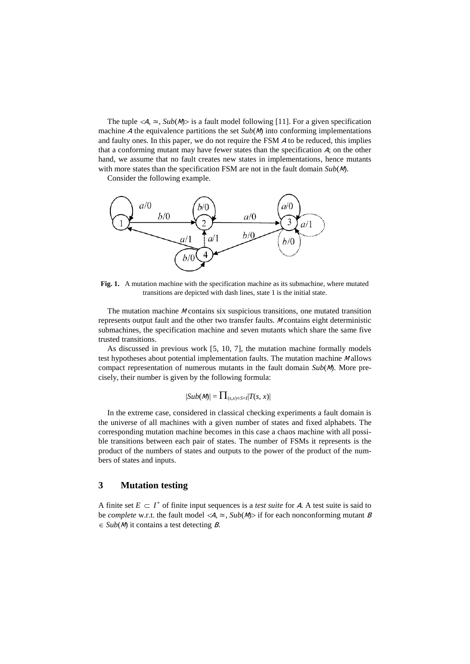The tuple  $\langle A, \simeq, \text{Sub}(M) \rangle$  is a fault model following [11]. For a given specification machine  $A$  the equivalence partitions the set  $Sub(M)$  into conforming implementations and faulty ones. In this paper, we do not require the FSM <sup>A</sup> to be reduced, this implies that a conforming mutant may have fewer states than the specification <sup>A</sup>; on the other hand, we assume that no fault creates new states in implementations, hence mutants with more states than the specification FSM are not in the fault domain *Sub*(M).

Consider the following example.



**Fig. 1.** A mutation machine with the specification machine as its submachine, where mutated transitions are depicted with dash lines, state 1 is the initial state.

The mutation machine M contains six suspicious transitions, one mutated transition represents output fault and the other two transfer faults. <sup>M</sup> contains eight deterministic submachines, the specification machine and seven mutants which share the same five trusted transitions.

As discussed in previous work [5, 10, 7], the mutation machine formally models test hypotheses about potential implementation faults. The mutation machine <sup>M</sup> allows compact representation of numerous mutants in the fault domain *Sub*(M). More precisely, their number is given by the following formula:

$$
|Sub(M)| = \prod_{(s,x)\in S\times I} |T(s,x)|
$$

In the extreme case, considered in classical checking experiments a fault domain is the universe of all machines with a given number of states and fixed alphabets. The corresponding mutation machine becomes in this case a chaos machine with all possible transitions between each pair of states. The number of FSMs it represents is the product of the numbers of states and outputs to the power of the product of the numbers of states and inputs.

### **3 Mutation testing**

A finite set  $E \subset I^*$  of finite input sequences is a *test suite* for A. A test suite is said to be *complete* w.r.t. the fault model  $\langle A, \simeq, \text{Sub}(M) \rangle$  if for each nonconforming mutant B  $\in Sub(M)$  it contains a test detecting *B*.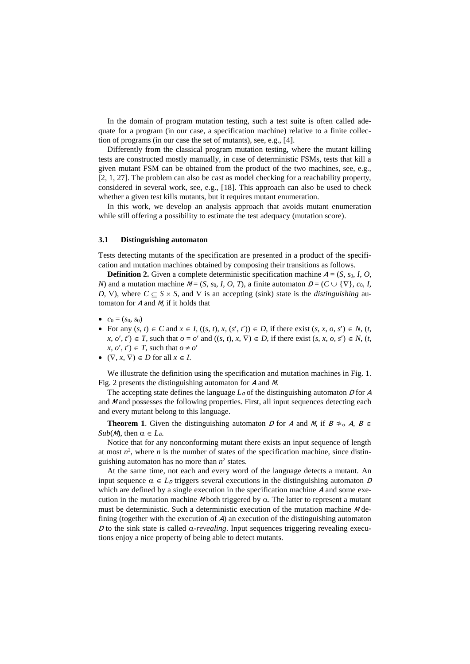In the domain of program mutation testing, such a test suite is often called adequate for a program (in our case, a specification machine) relative to a finite collection of programs (in our case the set of mutants), see, e.g., [4].

Differently from the classical program mutation testing, where the mutant killing tests are constructed mostly manually, in case of deterministic FSMs, tests that kill a given mutant FSM can be obtained from the product of the two machines, see, e.g., [2, 1, 27]. The problem can also be cast as model checking for a reachability property, considered in several work, see, e.g., [18]. This approach can also be used to check whether a given test kills mutants, but it requires mutant enumeration.

In this work, we develop an analysis approach that avoids mutant enumeration while still offering a possibility to estimate the test adequacy (mutation score).

#### **3.1 Distinguishing automaton**

Tests detecting mutants of the specification are presented in a product of the specification and mutation machines obtained by composing their transitions as follows.

**Definition 2.** Given a complete deterministic specification machine  $A = (S, s_0, I, O, I)$ *N*) and a mutation machine  $M = (S, s_0, I, O, T)$ , a finite automaton  $D = (C \cup \{\nabla\}, c_0, I, T)$ *D*,  $\nabla$ ), where  $C \subseteq S \times S$ , and  $\nabla$  is an accepting (sink) state is the *distinguishing* automaton for  $A$  and  $M$ , if it holds that

- $c_0 = (s_0, s_0)$
- For any  $(s, t) \in C$  and  $x \in I$ ,  $((s, t), x, (s', t')) \in D$ , if there exist  $(s, x, o, s') \in N$ ,  $(t, t)$  $x, o', t' \in T$ , such that  $o = o'$  and  $((s, t), x, \nabla) \in D$ , if there exist  $(s, x, o, s') \in N$ ,  $(t, t') \in T$  $x, o', t' \in T$ , such that  $o \neq o'$
- $\bullet$   $(\nabla, x, \nabla) \in D$  for all  $x \in I$ .

We illustrate the definition using the specification and mutation machines in Fig. 1. Fig. 2 presents the distinguishing automaton for <sup>A</sup> and M.

The accepting state defines the language  $L_D$  of the distinguishing automaton  $D$  for  $A$ and  $M$  and possesses the following properties. First, all input sequences detecting each and every mutant belong to this language.

**Theorem 1.** Given the distinguishing automaton D for A and M, if  $B \neq \alpha$  A,  $B \in$ *Sub*(*M*), then  $\alpha \in L_D$ .

Notice that for any nonconforming mutant there exists an input sequence of length at most  $n^2$ , where *n* is the number of states of the specification machine, since distinguishing automaton has no more than  $n^2$  states.

At the same time, not each and every word of the language detects a mutant. An input sequence  $\alpha \in L_D$  triggers several executions in the distinguishing automaton  $D$ which are defined by a single execution in the specification machine A and some execution in the mutation machine M both triggered by  $\alpha$ . The latter to represent a mutant must be deterministic. Such a deterministic execution of the mutation machine  $M$  defining (together with the execution of <sup>A</sup>) an execution of the distinguishing automaton D to the sink state is called  $\alpha$ -revealing. Input sequences triggering revealing executions enjoy a nice property of being able to detect mutants.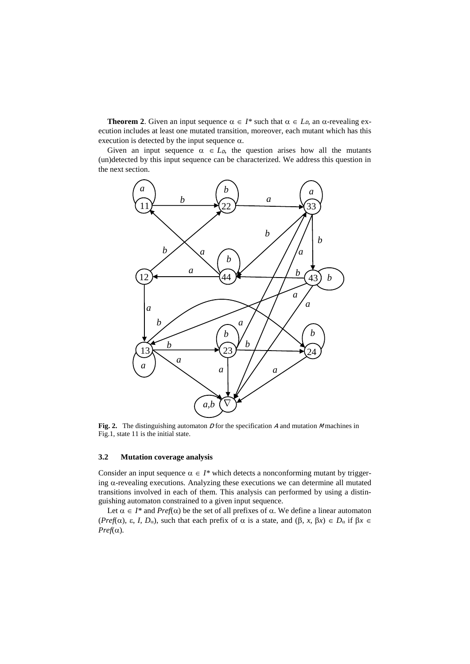**Theorem 2.** Given an input sequence  $\alpha \in I^*$  such that  $\alpha \in L_D$ , an  $\alpha$ -revealing execution includes at least one mutated transition, moreover, each mutant which has this execution is detected by the input sequence  $\alpha$ .

Given an input sequence  $\alpha \in L_{\mathcal{D}}$ , the question arises how all the mutants (un)detected by this input sequence can be characterized. We address this question in the next section.



Fig. 2. The distinguishing automaton  $D$  for the specification  $A$  and mutation  $M$  machines in Fig.1, state 11 is the initial state.

#### **3.2 Mutation coverage analysis**

Consider an input sequence  $\alpha \in I^*$  which detects a nonconforming mutant by triggering  $\alpha$ -revealing executions. Analyzing these executions we can determine all mutated transitions involved in each of them. This analysis can performed by using a distinguishing automaton constrained to a given input sequence.

Let  $\alpha \in I^*$  and  $Pref(\alpha)$  be the set of all prefixes of  $\alpha$ . We define a linear automaton (*Pref*( $\alpha$ ),  $\varepsilon$ , *I*,  $D_{\alpha}$ ), such that each prefix of  $\alpha$  is a state, and ( $\beta$ ,  $x$ ,  $\beta x$ )  $\in$   $D_{\alpha}$  if  $\beta x$   $\in$  $Pref(\alpha)$ *.*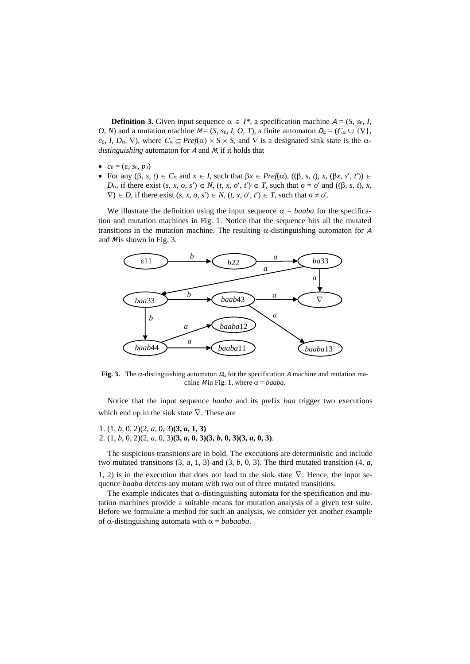**Definition 3.** Given input sequence  $\alpha \in I^*$ , a specification machine  $A = (S, s_0, I, I)$ *O*, *N*) and a mutation machine  $M = (S, s_0, I, O, T)$ , a finite automaton  $D_\alpha = (C_\alpha \cup \{\nabla\})$ ,  $c_0$ , *I*,  $D_\alpha$ ,  $\nabla$ ), where  $C_\alpha \subseteq \text{Pref}(\alpha) \times S \times S$ , and  $\nabla$  is a designated sink state is the  $\alpha$ *distinguishing* automaton for <sup>A</sup> and M, if it holds that

- $c_0 = (\varepsilon, s_0, p_0)$
- For any  $(\beta, s, t) \in C_\alpha$  and  $x \in I$ , such that  $\beta x \in \text{Pref}(\alpha)$ ,  $((\beta, s, t), x, (\beta x, s', t')) \in$  $D_{\alpha}$ , if there exist  $(s, x, o, s') \in N$ ,  $(t, x, o', t') \in T$ , such that  $o = o'$  and  $((\beta, s, t), x,$  $\nabla$   $\in$  *D*, if there exist  $(s, x, o, s') \in N$ ,  $(t, x, o', t') \in T$ , such that  $o \neq o'.$

We illustrate the definition using the input sequence  $\alpha = baaba$  for the specification and mutation machines in Fig. 1. Notice that the sequence hits all the mutated transitions in the mutation machine. The resulting  $\alpha$ -distinguishing automaton for A and  $M$  is shown in Fig. 3.



**Fig. 3.** The  $\alpha$ -distinguishing automaton  $D_{\alpha}$  for the specification A machine and mutation machine *M* in Fig. 1, where  $\alpha = baaba$ .

Notice that the input sequence *baaba* and its prefix *baa* trigger two executions which end up in the sink state  $\nabla$ . These are

- 1. (1, *b*, 0, 2)(2, *a*, 0, 3)**(3,** *a***, 1, 3)**
- 2. (1, *b*, 0, 2)(2, *a*, 0, 3)**(3,** *a***, 0, 3)(3,** *b***, 0, 3)(3,** *a***, 0, 3)**.

The suspicious transitions are in bold. The executions are deterministic and include two mutated transitions  $(3, a, 1, 3)$  and  $(3, b, 0, 3)$ . The third mutated transition  $(4, a, 4)$ 1, 2) is in the execution that does not lead to the sink state ∇. Hence, the input sequence *baaba* detects any mutant with two out of three mutated transitions.

The example indicates that  $\alpha$ -distinguishing automata for the specification and mutation machines provide a suitable means for mutation analysis of a given test suite. Before we formulate a method for such an analysis, we consider yet another example of  $\alpha$ -distinguishing automata with  $\alpha$  = *babaaba*.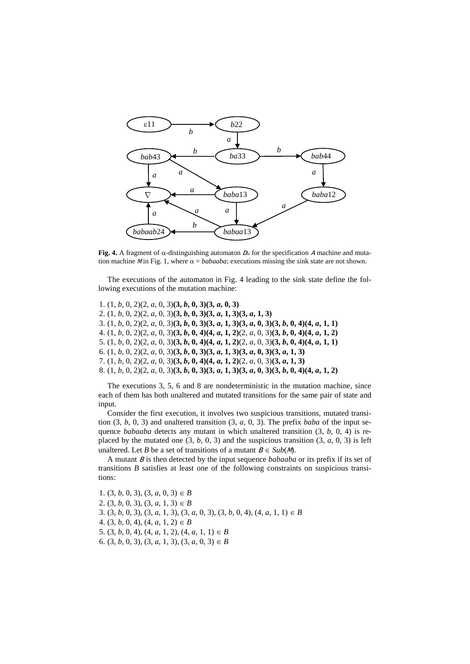

**Fig. 4.** A fragment of  $\alpha$ -distinguishing automaton  $D_{\alpha}$  for the specification A machine and mutation machine M in Fig. 1, where  $\alpha = babaaba$ ; executions missing the sink state are not shown.

The executions of the automaton in Fig. 4 leading to the sink state define the following executions of the mutation machine:

1. (1, *b*, 0, 2)(2, *a*, 0, 3)**(3,** *b***, 0, 3)(3,** *a***, 0, 3)**

2. (1, *b*, 0, 2)(2, *a*, 0, 3)**(3,** *b***, 0, 3)(3,** *a***, 1, 3)(3,** *a***, 1, 3)**

3. (1, *b*, 0, 2)(2, *a*, 0, 3)**(3,** *b***, 0, 3)(3,** *a***, 1, 3)(3,** *a***, 0, 3)(3,** *b***, 0, 4)(4,** *a***, 1, 1)**

4. (1, *b*, 0, 2)(2, *a*, 0, 3)**(3,** *b***, 0, 4)(4,** *a***, 1, 2)**(2, *a*, 0, 3)**(3,** *b***, 0, 4)(4,** *a***, 1, 2)**

- 5. (1, *b*, 0, 2)(2, *a*, 0, 3)**(3,** *b***, 0, 4)(4,** *a***, 1, 2)**(2, *a*, 0, 3)**(3,** *b***, 0, 4)(4,** *a***, 1, 1)**
- 6. (1, *b*, 0, 2)(2, *a*, 0, 3)**(3,** *b***, 0, 3)(3,** *a***, 1, 3)(3,** *a***, 0, 3)(3,** *a***, 1, 3)**
- 7. (1, *b*, 0, 2)(2, *a*, 0, 3)**(3,** *b***, 0, 4)(4,** *a***, 1, 2)**(2, *a*, 0, 3)**(3,** *a***, 1, 3)**
- 8. (1, *b*, 0, 2)(2, *a*, 0, 3)**(3,** *b***, 0, 3)(3,** *a***, 1, 3)(3,** *a***, 0, 3)(3,** *b***, 0, 4)(4,** *a***, 1, 2)**

The executions 3, 5, 6 and 8 are nondeterministic in the mutation machine, since each of them has both unaltered and mutated transitions for the same pair of state and input.

Consider the first execution, it involves two suspicious transitions, mutated transition  $(3, b, 0, 3)$  and unaltered transition  $(3, a, 0, 3)$ . The prefix *baba* of the input sequence *babaaba* detects any mutant in which unaltered transition (3, *b*, 0, 4) is replaced by the mutated one  $(3, b, 0, 3)$  and the suspicious transition  $(3, a, 0, 3)$  is left unaltered. Let *B* be a set of transitions of a mutant  $B \in Sub(M)$ .

A mutant <sup>B</sup> is then detected by the input sequence *babaaba* or its prefix if its set of transitions *B* satisfies at least one of the following constraints on suspicious transitions:

1.  $(3, b, 0, 3), (3, a, 0, 3) \in B$ 

2.  $(3, b, 0, 3), (3, a, 1, 3) \in B$ 

- 3. (3, *b*, 0, 3), (3, *a*, 1, 3), (3, *a*, 0, 3), (3, *b*, 0, 4), (4, *a*, 1, 1) *B*
- 4.  $(3, b, 0, 4)$ ,  $(4, a, 1, 2) \in B$
- 5.  $(3, b, 0, 4)$ ,  $(4, a, 1, 2)$ ,  $(4, a, 1, 1) \in B$
- 6.  $(3, b, 0, 3), (3, a, 1, 3), (3, a, 0, 3) \in B$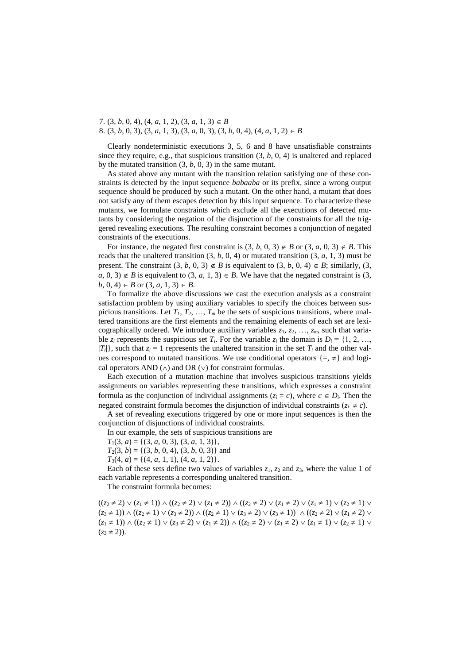7.  $(3, b, 0, 4), (4, a, 1, 2), (3, a, 1, 3) \in B$ 8. (3, *b*, 0, 3), (3, *a*, 1, 3), (3, *a*, 0, 3), (3, *b*, 0, 4), (4, *a*, 1, 2) *B*

Clearly nondeterministic executions 3, 5, 6 and 8 have unsatisfiable constraints since they require, e.g., that suspicious transition (3, *b*, 0, 4) is unaltered and replaced by the mutated transition (3, *b*, 0, 3) in the same mutant.

As stated above any mutant with the transition relation satisfying one of these constraints is detected by the input sequence *babaaba* or its prefix, since a wrong output sequence should be produced by such a mutant. On the other hand, a mutant that does not satisfy any of them escapes detection by this input sequence. To characterize these mutants, we formulate constraints which exclude all the executions of detected mutants by considering the negation of the disjunction of the constraints for all the triggered revealing executions. The resulting constraint becomes a conjunction of negated constraints of the executions.

For instance, the negated first constraint is  $(3, b, 0, 3) \notin B$  or  $(3, a, 0, 3) \notin B$ . This reads that the unaltered transition (3, *b*, 0, 4) or mutated transition (3, *a*, 1, 3) must be present. The constraint  $(3, b, 0, 3) \notin B$  is equivalent to  $(3, b, 0, 4) \in B$ ; similarly,  $(3,$  $a, 0, 3$ )  $\notin B$  is equivalent to  $(3, a, 1, 3) \in B$ . We have that the negated constraint is  $(3, a, 1, 3)$  $b, 0, 4 \in B$  or  $(3, a, 1, 3) \in B$ .

To formalize the above discussions we cast the execution analysis as a constraint satisfaction problem by using auxiliary variables to specify the choices between suspicious transitions. Let  $T_1, T_2, ..., T_m$  be the sets of suspicious transitions, where unaltered transitions are the first elements and the remaining elements of each set are lexicographically ordered. We introduce auxiliary variables  $z_1, z_2, \ldots, z_m$ , such that variable  $z_i$  represents the suspicious set  $T_i$ . For the variable  $z_i$  the domain is  $D_i = \{1, 2, ...,$  $|T_i|$ , such that  $z_i = 1$  represents the unaltered transition in the set  $T_i$  and the other values correspond to mutated transitions. We use conditional operators  $\{\pm, \neq\}$  and logical operators AND ( $\land$ ) and OR ( $\lor$ ) for constraint formulas.

Each execution of a mutation machine that involves suspicious transitions yields assignments on variables representing these transitions, which expresses a constraint formula as the conjunction of individual assignments ( $z_i = c$ ), where  $c \in D_i$ . Then the negated constraint formula becomes the disjunction of individual constraints  $(z_i \neq c)$ .

A set of revealing executions triggered by one or more input sequences is then the conjunction of disjunctions of individual constraints.

In our example, the sets of suspicious transitions are

 $T_1(3, a) = \{(3, a, 0, 3), (3, a, 1, 3)\},\$ 

 $T_2(3, b) = \{(3, b, 0, 4), (3, b, 0, 3)\}$  and

 $T_3(4, a) = \{(4, a, 1, 1), (4, a, 1, 2)\}.$ 

Each of these sets define two values of variables  $z_1$ ,  $z_2$  and  $z_3$ , where the value 1 of each variable represents a corresponding unaltered transition.

The constraint formula becomes:

 $((z_2 \neq 2) \vee (z_1 \neq 1)) \wedge ((z_2 \neq 2) \vee (z_1 \neq 2)) \wedge ((z_2 \neq 2) \vee (z_1 \neq 2) \vee (z_1 \neq 1) \vee (z_2 \neq 1) \vee$  $(z_3 \neq 1)$ )  $\wedge ((z_2 \neq 1) \vee (z_3 \neq 2)) \wedge ((z_2 \neq 1) \vee (z_3 \neq 2) \vee (z_3 \neq 1))$   $\wedge ((z_2 \neq 2) \vee (z_1 \neq 2) \vee (z_3 \neq 2))$  $(z_1 \neq 1)$ )  $\wedge ((z_2 \neq 1) \vee (z_3 \neq 2) \vee (z_1 \neq 2)) \wedge ((z_2 \neq 2) \vee (z_1 \neq 2) \vee (z_1 \neq 1) \vee (z_2 \neq 1) \vee (z_1 \neq 2))$  $(z_3 \neq 2)$ ).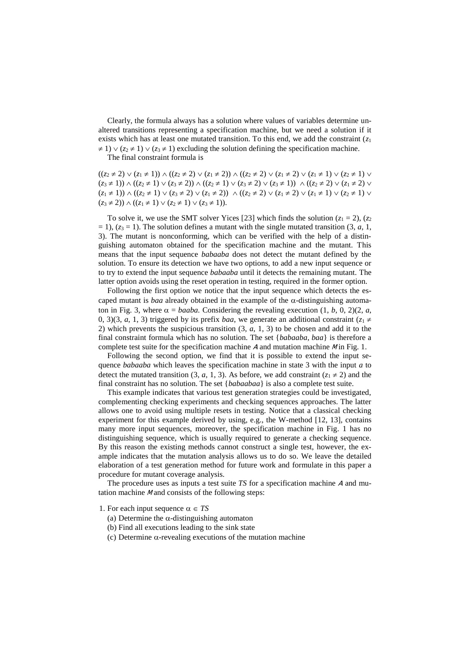Clearly, the formula always has a solution where values of variables determine unaltered transitions representing a specification machine, but we need a solution if it exists which has at least one mutated transition. To this end, we add the constraint  $(z_1)$  $\neq$  1)  $\vee$  (*z*<sub>2</sub>  $\neq$  1)  $\vee$  (*z*<sub>3</sub>  $\neq$  1) excluding the solution defining the specification machine.

The final constraint formula is

 $((z_2 \neq 2) \vee (z_1 \neq 1)) \wedge ((z_2 \neq 2) \vee (z_1 \neq 2)) \wedge ((z_2 \neq 2) \vee (z_1 \neq 2) \vee (z_1 \neq 1) \vee (z_2 \neq 1) \vee$  $(z_3 \neq 1)$ )  $\wedge ((z_2 \neq 1) \vee (z_3 \neq 2)) \wedge ((z_2 \neq 1) \vee (z_3 \neq 2) \vee (z_3 \neq 1))$   $\wedge ((z_2 \neq 2) \vee (z_1 \neq 2) \vee (z_2 \neq 2))$  $(z_1 \neq 1)$ )  $\wedge ((z_2 \neq 1) \vee (z_3 \neq 2) \vee (z_1 \neq 2))$   $\wedge ((z_2 \neq 2) \vee (z_1 \neq 2) \vee (z_1 \neq 1) \vee (z_2 \neq 1) \vee$  $(z_3 \neq 2)$ )  $\wedge ((z_1 \neq 1) \vee (z_2 \neq 1) \vee (z_3 \neq 1)).$ 

To solve it, we use the SMT solver Yices [23] which finds the solution  $(z_1 = 2)$ ,  $(z_2$  $= 1$ ), ( $z_3 = 1$ ). The solution defines a mutant with the single mutated transition (3, *a*, 1, 3). The mutant is nonconforming, which can be verified with the help of a distinguishing automaton obtained for the specification machine and the mutant. This means that the input sequence *babaaba* does not detect the mutant defined by the solution. To ensure its detection we have two options, to add a new input sequence or to try to extend the input sequence *babaaba* until it detects the remaining mutant. The latter option avoids using the reset operation in testing, required in the former option.

Following the first option we notice that the input sequence which detects the escaped mutant is *baa* already obtained in the example of the  $\alpha$ -distinguishing automaton in Fig. 3, where  $\alpha = baaba$ . Considering the revealing execution (1, *b*, 0, 2)(2, *a*, 0, 3)(3, *a*, 1, 3) triggered by its prefix *baa*, we generate an additional constraint ( $z_1 \neq$ 2) which prevents the suspicious transition (3, *a*, 1, 3) to be chosen and add it to the final constraint formula which has no solution. The set {*babaaba*, *baa*} is therefore a complete test suite for the specification machine  $A$  and mutation machine  $M$  in Fig. 1.

Following the second option, we find that it is possible to extend the input sequence *babaaba* which leaves the specification machine in state 3 with the input *a* to detect the mutated transition (3, *a*, 1, 3). As before, we add constraint ( $z_1 \neq 2$ ) and the final constraint has no solution. The set {*babaabaa*} is also a complete test suite.

This example indicates that various test generation strategies could be investigated, complementing checking experiments and checking sequences approaches. The latter allows one to avoid using multiple resets in testing. Notice that a classical checking experiment for this example derived by using, e.g., the W-method [12, 13], contains many more input sequences, moreover, the specification machine in Fig. 1 has no distinguishing sequence, which is usually required to generate a checking sequence. By this reason the existing methods cannot construct a single test, however, the example indicates that the mutation analysis allows us to do so. We leave the detailed elaboration of a test generation method for future work and formulate in this paper a procedure for mutant coverage analysis.

The procedure uses as inputs a test suite *TS* for a specification machine <sup>A</sup> and mutation machine  $M$  and consists of the following steps:

- 1. For each input sequence  $\alpha \in TS$ 
	- (a) Determine the  $\alpha$ -distinguishing automaton
	- (b) Find all executions leading to the sink state
	- (c) Determine  $\alpha$ -revealing executions of the mutation machine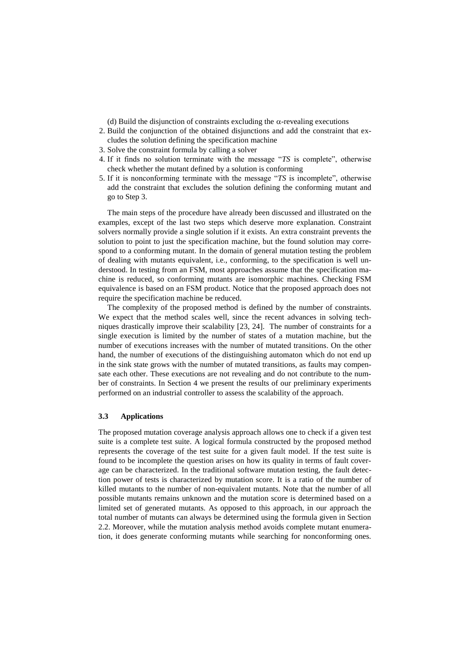(d) Build the disjunction of constraints excluding the  $\alpha$ -revealing executions

- 2. Build the conjunction of the obtained disjunctions and add the constraint that excludes the solution defining the specification machine
- 3. Solve the constraint formula by calling a solver
- 4. If it finds no solution terminate with the message "*TS* is complete", otherwise check whether the mutant defined by a solution is conforming
- 5. If it is nonconforming terminate with the message "*TS* is incomplete", otherwise add the constraint that excludes the solution defining the conforming mutant and go to Step 3.

The main steps of the procedure have already been discussed and illustrated on the examples, except of the last two steps which deserve more explanation. Constraint solvers normally provide a single solution if it exists. An extra constraint prevents the solution to point to just the specification machine, but the found solution may correspond to a conforming mutant. In the domain of general mutation testing the problem of dealing with mutants equivalent, i.e., conforming, to the specification is well understood. In testing from an FSM, most approaches assume that the specification machine is reduced, so conforming mutants are isomorphic machines. Checking FSM equivalence is based on an FSM product. Notice that the proposed approach does not require the specification machine be reduced.

The complexity of the proposed method is defined by the number of constraints. We expect that the method scales well, since the recent advances in solving techniques drastically improve their scalability [23, 24]. The number of constraints for a single execution is limited by the number of states of a mutation machine, but the number of executions increases with the number of mutated transitions. On the other hand, the number of executions of the distinguishing automaton which do not end up in the sink state grows with the number of mutated transitions, as faults may compensate each other. These executions are not revealing and do not contribute to the number of constraints. In Section 4 we present the results of our preliminary experiments performed on an industrial controller to assess the scalability of the approach.

#### **3.3 Applications**

The proposed mutation coverage analysis approach allows one to check if a given test suite is a complete test suite. A logical formula constructed by the proposed method represents the coverage of the test suite for a given fault model. If the test suite is found to be incomplete the question arises on how its quality in terms of fault coverage can be characterized. In the traditional software mutation testing, the fault detection power of tests is characterized by mutation score. It is a ratio of the number of killed mutants to the number of non-equivalent mutants. Note that the number of all possible mutants remains unknown and the mutation score is determined based on a limited set of generated mutants. As opposed to this approach, in our approach the total number of mutants can always be determined using the formula given in Section 2.2. Moreover, while the mutation analysis method avoids complete mutant enumeration, it does generate conforming mutants while searching for nonconforming ones.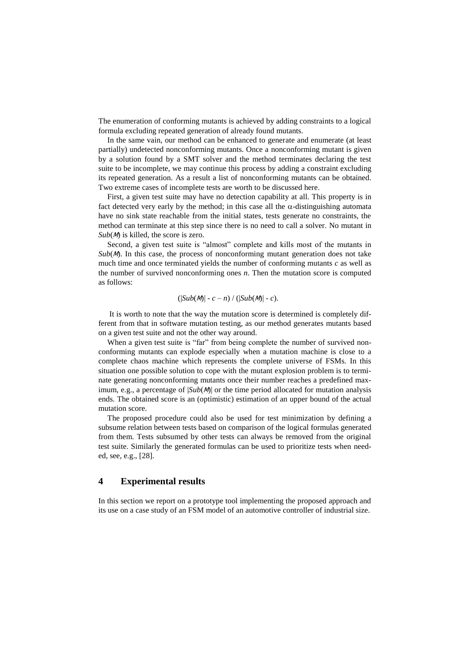The enumeration of conforming mutants is achieved by adding constraints to a logical formula excluding repeated generation of already found mutants.

In the same vain, our method can be enhanced to generate and enumerate (at least partially) undetected nonconforming mutants. Once a nonconforming mutant is given by a solution found by a SMT solver and the method terminates declaring the test suite to be incomplete, we may continue this process by adding a constraint excluding its repeated generation. As a result a list of nonconforming mutants can be obtained. Two extreme cases of incomplete tests are worth to be discussed here.

First, a given test suite may have no detection capability at all. This property is in fact detected very early by the method; in this case all the  $\alpha$ -distinguishing automata have no sink state reachable from the initial states, tests generate no constraints, the method can terminate at this step since there is no need to call a solver. No mutant in *Sub*(*M*) is killed, the score is zero.

Second, a given test suite is "almost" complete and kills most of the mutants in *Sub*(M). In this case, the process of nonconforming mutant generation does not take much time and once terminated yields the number of conforming mutants *c* as well as the number of survived nonconforming ones *n*. Then the mutation score is computed as follows:

$$
(|Sub(M)|-c-n)/(|Sub(M)|-c).
$$

It is worth to note that the way the mutation score is determined is completely different from that in software mutation testing, as our method generates mutants based on a given test suite and not the other way around.

When a given test suite is "far" from being complete the number of survived nonconforming mutants can explode especially when a mutation machine is close to a complete chaos machine which represents the complete universe of FSMs. In this situation one possible solution to cope with the mutant explosion problem is to terminate generating nonconforming mutants once their number reaches a predefined maximum, e.g., a percentage of  $|Sub(M)|$  or the time period allocated for mutation analysis ends. The obtained score is an (optimistic) estimation of an upper bound of the actual mutation score.

The proposed procedure could also be used for test minimization by defining a subsume relation between tests based on comparison of the logical formulas generated from them. Tests subsumed by other tests can always be removed from the original test suite. Similarly the generated formulas can be used to prioritize tests when needed, see, e.g., [28].

#### **4 Experimental results**

In this section we report on a prototype tool implementing the proposed approach and its use on a case study of an FSM model of an automotive controller of industrial size.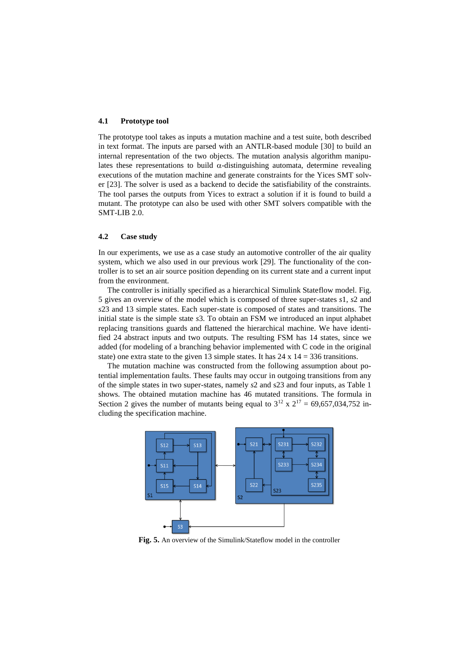#### **4.1 Prototype tool**

The prototype tool takes as inputs a mutation machine and a test suite, both described in text format. The inputs are parsed with an ANTLR-based module [30] to build an internal representation of the two objects. The mutation analysis algorithm manipulates these representations to build  $\alpha$ -distinguishing automata, determine revealing executions of the mutation machine and generate constraints for the Yices SMT solver [23]. The solver is used as a backend to decide the satisfiability of the constraints. The tool parses the outputs from Yices to extract a solution if it is found to build a mutant. The prototype can also be used with other SMT solvers compatible with the SMT-LIB 2.0.

#### **4.2 Case study**

In our experiments, we use as a case study an automotive controller of the air quality system, which we also used in our previous work [29]. The functionality of the controller is to set an air source position depending on its current state and a current input from the environment.

The controller is initially specified as a hierarchical Simulink Stateflow model. [Fig.](#page-14-0)  [5](#page-14-0) gives an overview of the model which is composed of three super-states *s*1, *s*2 and *s*23 and 13 simple states. Each super-state is composed of states and transitions. The initial state is the simple state *s*3. To obtain an FSM we introduced an input alphabet replacing transitions guards and flattened the hierarchical machine. We have identified 24 abstract inputs and two outputs. The resulting FSM has 14 states, since we added (for modeling of a branching behavior implemented with C code in the original state) one extra state to the given 13 simple states. It has  $24 \times 14 = 336$  transitions.

The mutation machine was constructed from the following assumption about potential implementation faults. These faults may occur in outgoing transitions from any of the simple states in two super-states, namely *s*2 and s23 and four inputs, as Table 1 shows. The obtained mutation machine has 46 mutated transitions. The formula in Section 2 gives the number of mutants being equal to  $3^{12} \times 2^{17} = 69,657,034,752$  including the specification machine.



<span id="page-14-0"></span>**Fig. 5.** An overview of the Simulink/Stateflow model in the controller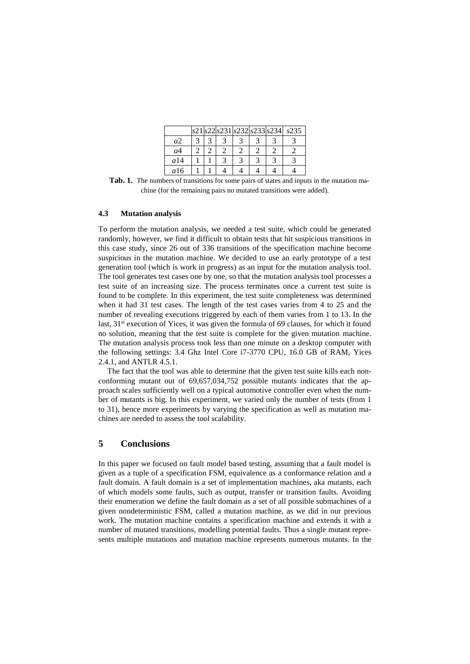|     |  | s21 s22 s231 s232 s233 s234 |  | s235 |
|-----|--|-----------------------------|--|------|
| a2  |  |                             |  |      |
| a4  |  |                             |  |      |
| a14 |  |                             |  |      |
| a16 |  |                             |  |      |

Tab. 1. The numbers of transitions for some pairs of states and inputs in the mutation machine (for the remaining pairs no mutated transitions were added).

#### **4.3 Mutation analysis**

To perform the mutation analysis, we needed a test suite, which could be generated randomly, however, we find it difficult to obtain tests that hit suspicious transitions in this case study, since 26 out of 336 transitions of the specification machine become suspicious in the mutation machine. We decided to use an early prototype of a test generation tool (which is work in progress) as an input for the mutation analysis tool. The tool generates test cases one by one, so that the mutation analysis tool processes a test suite of an increasing size. The process terminates once a current test suite is found to be complete. In this experiment, the test suite completeness was determined when it had 31 test cases. The length of the test cases varies from 4 to 25 and the number of revealing executions triggered by each of them varies from 1 to 13. In the last,  $31<sup>st</sup>$  execution of Yices, it was given the formula of 69 clauses, for which it found no solution, meaning that the test suite is complete for the given mutation machine. The mutation analysis process took less than one minute on a desktop computer with the following settings: 3.4 Ghz Intel Core i7-3770 CPU, 16.0 GB of RAM, Yices 2.4.1, and ANTLR 4.5.1.

The fact that the tool was able to determine that the given test suite kills each nonconforming mutant out of 69,657,034,752 possible mutants indicates that the approach scales sufficiently well on a typical automotive controller even when the number of mutants is big. In this experiment, we varied only the number of tests (from 1 to 31), hence more experiments by varying the specification as well as mutation machines are needed to assess the tool scalability.

## **5 Conclusions**

In this paper we focused on fault model based testing, assuming that a fault model is given as a tuple of a specification FSM, equivalence as a conformance relation and a fault domain. A fault domain is a set of implementation machines, aka mutants, each of which models some faults, such as output, transfer or transition faults. Avoiding their enumeration we define the fault domain as a set of all possible submachines of a given nondeterministic FSM, called a mutation machine, as we did in our previous work. The mutation machine contains a specification machine and extends it with a number of mutated transitions, modelling potential faults. Thus a single mutant represents multiple mutations and mutation machine represents numerous mutants. In the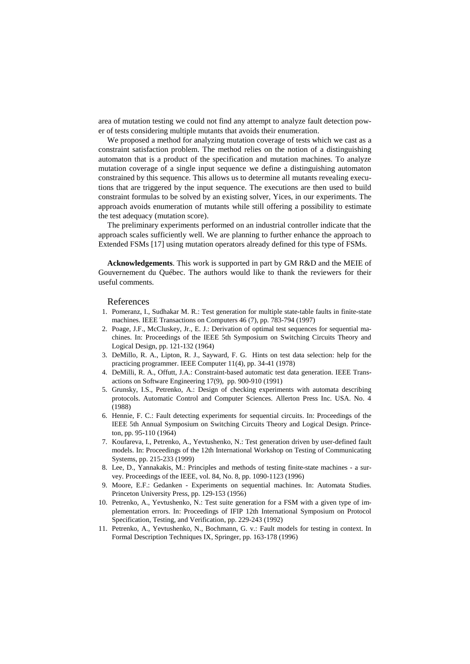area of mutation testing we could not find any attempt to analyze fault detection power of tests considering multiple mutants that avoids their enumeration.

We proposed a method for analyzing mutation coverage of tests which we cast as a constraint satisfaction problem. The method relies on the notion of a distinguishing automaton that is a product of the specification and mutation machines. To analyze mutation coverage of a single input sequence we define a distinguishing automaton constrained by this sequence. This allows us to determine all mutants revealing executions that are triggered by the input sequence. The executions are then used to build constraint formulas to be solved by an existing solver, Yices, in our experiments. The approach avoids enumeration of mutants while still offering a possibility to estimate the test adequacy (mutation score).

The preliminary experiments performed on an industrial controller indicate that the approach scales sufficiently well. We are planning to further enhance the approach to Extended FSMs [17] using mutation operators already defined for this type of FSMs.

**Acknowledgements**. This work is supported in part by GM R&D and the MEIE of Gouvernement du Québec. The authors would like to thank the reviewers for their useful comments.

#### References

- 1. Pomeranz, I., Sudhakar M. R.: Test generation for multiple state-table faults in finite-state machines. IEEE Transactions on Computers 46 (7), pp. 783-794 (1997)
- 2. Poage, J.F., McCluskey, Jr., E. J.: Derivation of optimal test sequences for sequential machines. In: Proceedings of the IEEE 5th Symposium on Switching Circuits Theory and Logical Design, pp. 121-132 (1964)
- 3. DeMillo, R. A., Lipton, R. J., Sayward, F. G. Hints on test data selection: help for the practicing programmer. IEEE Computer 11(4), pp. 34-41 (1978)
- 4. DeMilli, R. A., Offutt, J.A.: Constraint-based automatic test data generation. IEEE Transactions on Software Engineering 17(9), pp. 900-910 (1991)
- 5. Grunsky, I.S., Petrenko, A.: Design of checking experiments with automata describing protocols. Automatic Control and Computer Sciences. Allerton Press Inc. USA. No. 4 (1988)
- 6. Hennie, F. C.: Fault detecting experiments for sequential circuits. In: Proceedings of the IEEE 5th Annual Symposium on Switching Circuits Theory and Logical Design. Princeton, pp. 95-110 (1964)
- 7. Koufareva, I., Petrenko, A., Yevtushenko, N.: Test generation driven by user-defined fault models. In: Proceedings of the 12th International Workshop on Testing of Communicating Systems, pp. 215-233 (1999)
- 8. Lee, D., Yannakakis, M.: Principles and methods of testing finite-state machines a survey. Proceedings of the IEEE, vol. 84, No. 8, pp. 1090-1123 (1996)
- 9. Moore, E.F.: Gedanken Experiments on sequential machines. In: Automata Studies. Princeton University Press, pp. 129-153 (1956)
- 10. Petrenko, A., Yevtushenko, N.: Test suite generation for a FSM with a given type of implementation errors. In: Proceedings of IFIP 12th International Symposium on Protocol Specification, Testing, and Verification, pp. 229-243 (1992)
- 11. Petrenko, A., Yevtushenko, N., Bochmann, G. v.: Fault models for testing in context. In Formal Description Techniques IX, Springer, pp. 163-178 (1996)